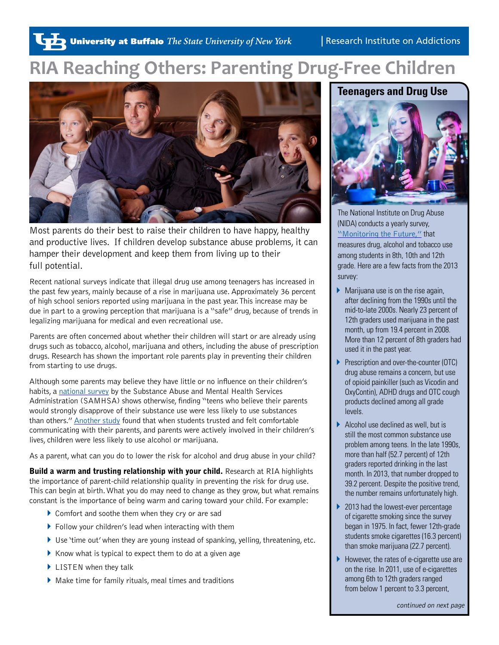# **RIA Reaching Others: Parenting Drug-Free Children**



Most parents do their best to raise their children to have happy, healthy and productive lives. If children develop substance abuse problems, it can hamper their development and keep them from living up to their full potential.

Recent national surveys indicate that illegal drug use among teenagers has increased in the past few years, mainly because of a rise in marijuana use. Approximately 36 percent of high school seniors reported using marijuana in the past year. This increase may be due in part to a growing perception that marijuana is a "safe" drug, because of trends in legalizing marijuana for medical and even recreational use.

Parents are often concerned about whether their children will start or are already using drugs such as tobacco, alcohol, marijuana and others, including the abuse of prescription drugs. Research has shown the important role parents play in preventing their children from starting to use drugs.

Although some parents may believe they have little or no influence on their children's habits, a [national survey](http://www.samhsa.gov/newsroom/press-announcements/201305241215) by the Substance Abuse and Mental Health Services Administration (SAMHSA) shows otherwise, finding "teens who believe their parents would strongly disapprove of their substance use were less likely to use substances than others." [Another study](http://news.ncsu.edu/2012/12/wms-parcel-alcohol/) found that when students trusted and felt comfortable communicating with their parents, and parents were actively involved in their children's lives, children were less likely to use alcohol or marijuana.

As a parent, what can you do to lower the risk for alcohol and drug abuse in your child?

**Build a warm and trusting relationship with your child.** Research at RIA highlights the importance of parent-child relationship quality in preventing the risk for drug use. This can begin at birth. What you do may need to change as they grow, but what remains constant is the importance of being warm and caring toward your child. For example:

- ▶ Comfort and soothe them when they cry or are sad
- $\blacktriangleright$  Follow your children's lead when interacting with them
- ▶ Use 'time out' when they are young instead of spanking, yelling, threatening, etc.
- $\blacktriangleright$  Know what is typical to expect them to do at a given age
- ▶ LISTEN when they talk
- $\blacktriangleright$  Make time for family rituals, meal times and traditions

## **Teenagers and Drug Use**



The National Institute on Drug Abuse (NIDA) conducts a yearly survey, ["Monitoring the Future,"](http://www.monitoringthefuture.org/) that measures drug, alcohol and tobacco use among students in 8th, 10th and 12th grade. Here are a few facts from the 2013 survey:

- $\blacktriangleright$  Marijuana use is on the rise again, after declining from the 1990s until the mid-to-late 2000s. Nearly 23 percent of 12th graders used marijuana in the past month, up from 19.4 percent in 2008. More than 12 percent of 8th graders had used it in the past year.
- Prescription and over-the-counter (OTC) drug abuse remains a concern, but use of opioid painkiller (such as Vicodin and OxyContin), ADHD drugs and OTC cough products declined among all grade levels.
- $\blacktriangleright$  Alcohol use declined as well, but is still the most common substance use problem among teens. In the late 1990s, more than half (52.7 percent) of 12th graders reported drinking in the last month. In 2013, that number dropped to 39.2 percent. Despite the positive trend, the number remains unfortunately high.
- ▶ 2013 had the lowest-ever percentage of cigarette smoking since the survey began in 1975. In fact, fewer 12th-grade students smoke cigarettes (16.3 percent) than smoke marijuana (22.7 percent).
- However, the rates of e-cigarette use are on the rise. In 2011, use of e-cigarettes among 6th to 12th graders ranged from below 1 percent to 3.3 percent,